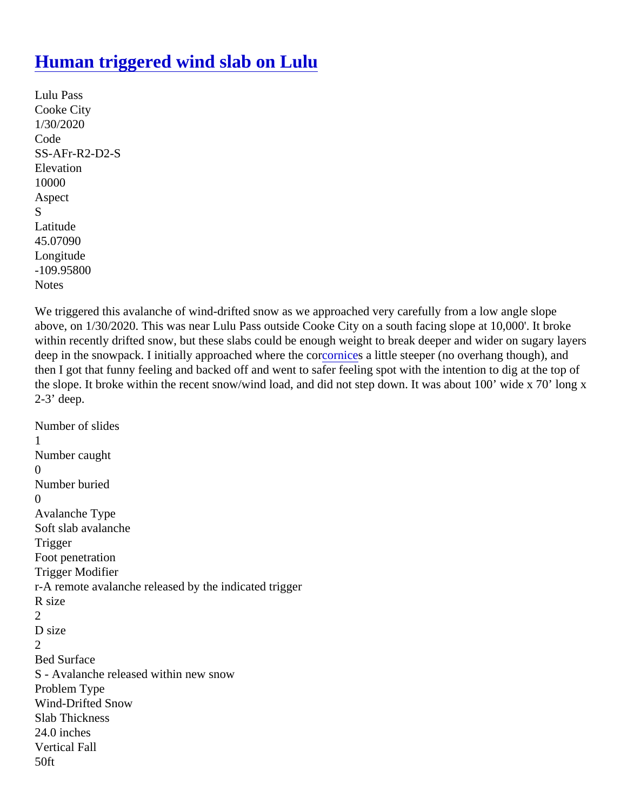## [Human triggered wind slab on Lulu](https://www.mtavalanche.com/node/21803)

```
Lulu Pass
Cooke City
1/30/2020
Code
SS-AFr-R2-D2-S
Elevation
10000
Aspect
S
Latitude
45.07090
Longitude
-109.95800
Notes
```
We triggered this avalanche of wind-drifted snow as we approached very carefully from a low angle slope above, on 1/30/2020. This was near Lulu Pass outside Cooke City on a south facing slope at 10,000'. It broke within recently drifted snow, but these slabs could be enough weight to break deeper and wider on sugary lay deep in the snowpack. I initially approached where the [cornices](https://www.mtavalanche.com/taxonomy/term/267) a little steeper (no overhang though), and then I got that funny feeling and backed off and went to safer feeling spot with the intention to dig at the top of the slope. It broke within the recent snow/wind load, and did not step down. It was about 100' wide x 70' long 2-3' deep.

```
Number of slides
1
Number caught
\OmegaNumber buried
\OmegaAvalanche Type
Soft slab avalanche
Trigger
Foot penetration
Trigger Modifier
r-A remote avalanche released by the indicated trigger
R size
2
D size
\mathcal{P}Bed Surface
S - Avalanche released within new snow
Problem Type
Wind-Drifted Snow
Slab Thickness
24.0 inches
Vertical Fall
50ft
```